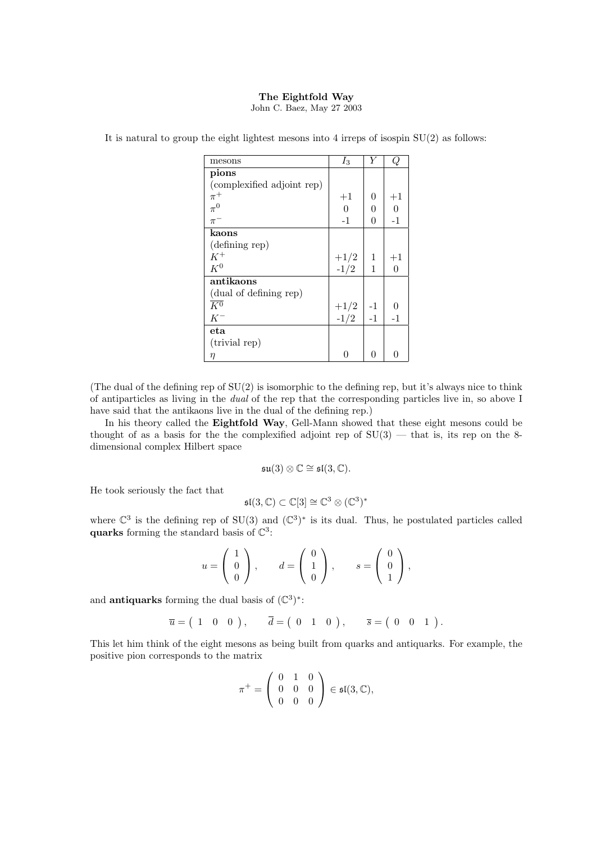## The Eightfold Way

John C. Baez, May 27 2003

| mesons                     | $I_3$            | Y    | Q        |
|----------------------------|------------------|------|----------|
| pions                      |                  |      |          |
| (complexified adjoint rep) |                  |      |          |
| $\pi^+$                    | $+1$             | 0    | $+1$     |
| $\pi^0$                    | $\boldsymbol{0}$ | 0    | $\theta$ |
| $\pi^-$                    | $-1$             | 0    | $-1$     |
| kaons                      |                  |      |          |
| (defining rep)             |                  |      |          |
| $K^+$                      |                  | 1    | $+1$     |
| $K^0$                      | $^{+1/2}_{-1/2}$ | 1    | 0        |
| antikaons                  |                  |      |          |
| (dual of defining rep)     |                  |      |          |
| $\overline{K^0}$           |                  | $-1$ | $\theta$ |
| $K^-$                      | $^{+1/2}_{-1/2}$ | $-1$ | $-1$     |
| $_{\rm eta}$               |                  |      |          |
| (trivial rep)              |                  |      |          |
| η                          | 0                | 0    | 0        |

It is natural to group the eight lightest mesons into 4 irreps of isospin  $SU(2)$  as follows:

(The dual of the defining rep of SU(2) is isomorphic to the defining rep, but it's always nice to think of antiparticles as living in the dual of the rep that the corresponding particles live in, so above I have said that the antikaons live in the dual of the defining rep.)

In his theory called the Eightfold Way, Gell-Mann showed that these eight mesons could be thought of as a basis for the the complexified adjoint rep of  $SU(3)$  — that is, its rep on the 8dimensional complex Hilbert space

$$
\mathfrak{su}(3)\otimes\mathbb{C}\cong \mathfrak{sl}(3,\mathbb{C}).
$$

He took seriously the fact that

$$
\mathfrak{sl}(3,\mathbb{C})\subset\mathbb{C}[3]\cong\mathbb{C}^3\otimes(\mathbb{C}^3)^*
$$

where  $\mathbb{C}^3$  is the defining rep of SU(3) and  $(\mathbb{C}^3)^*$  is its dual. Thus, he postulated particles called quarks forming the standard basis of  $\mathbb{C}^3$ :

$$
u = \begin{pmatrix} 1 \\ 0 \\ 0 \end{pmatrix}, \qquad d = \begin{pmatrix} 0 \\ 1 \\ 0 \end{pmatrix}, \qquad s = \begin{pmatrix} 0 \\ 0 \\ 1 \end{pmatrix},
$$

and **antiquarks** forming the dual basis of  $(\mathbb{C}^3)^*$ :

$$
\overline{u} = (1 \ 0 \ 0), \overline{d} = (0 \ 1 \ 0), \overline{s} = (0 \ 0 \ 1).
$$

This let him think of the eight mesons as being built from quarks and antiquarks. For example, the positive pion corresponds to the matrix

$$
\pi^+ = \left(\begin{array}{ccc} 0 & 1 & 0 \\ 0 & 0 & 0 \\ 0 & 0 & 0 \end{array}\right) \in \mathfrak{sl}(3,\mathbb{C}),
$$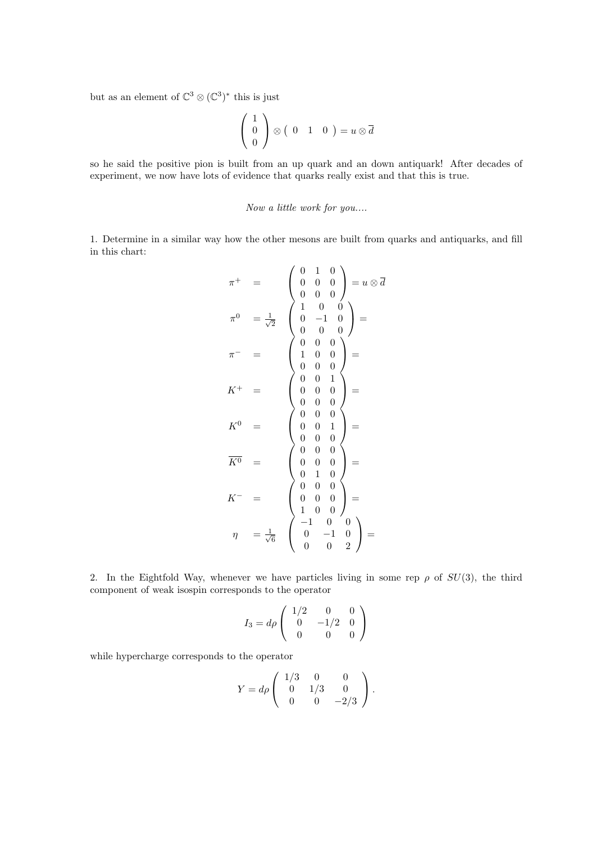but as an element of  $\mathbb{C}^3 \otimes (\mathbb{C}^3)^*$  this is just

$$
\left(\begin{array}{c}1\\0\\0\end{array}\right)\otimes\left(\begin{array}{cc}0&1&0\end{array}\right)=u\otimes\overline{d}
$$

so he said the positive pion is built from an up quark and an down antiquark! After decades of experiment, we now have lots of evidence that quarks really exist and that this is true.

## Now a little work for you....

1. Determine in a similar way how the other mesons are built from quarks and antiquarks, and fill in this chart:

$$
\pi^{+} = \begin{pmatrix} 0 & 1 & 0 \\ 0 & 0 & 0 \\ 0 & 0 & 0 \\ 0 & 0 & 0 \end{pmatrix} = u \otimes \overline{d}
$$

$$
\pi^{0} = \frac{1}{\sqrt{2}} \begin{pmatrix} 1 & 0 & 0 \\ 0 & -1 & 0 \\ 0 & 0 & 0 \\ 0 & 0 & 0 \\ 0 & 0 & 0 \end{pmatrix} =
$$

$$
K^{+} = \begin{pmatrix} 0 & 0 & 1 \\ 1 & 0 & 0 \\ 0 & 0 & 0 \\ 0 & 0 & 0 \\ 0 & 0 & 0 \\ 0 & 0 & 0 \end{pmatrix} =
$$

$$
K^{0} = \begin{pmatrix} 0 & 0 & 1 \\ 0 & 0 & 0 \\ 0 & 0 & 0 \\ 0 & 0 & 0 \\ 0 & 1 & 0 \\ 0 & 1 & 0 \\ 0 & 0 & 0 \end{pmatrix} =
$$

$$
K^{-} = \begin{pmatrix} 0 & 0 & 0 \\ 0 & 0 & 0 \\ 0 & 0 & 0 \\ 1 & 0 & 0 \\ 1 & 0 & 0 \end{pmatrix} =
$$

$$
\eta = \frac{1}{\sqrt{6}} \begin{pmatrix} -1 & 0 & 0 \\ 0 & -1 & 0 \\ 0 & 0 & 2 \end{pmatrix} =
$$

2. In the Eightfold Way, whenever we have particles living in some rep  $\rho$  of  $SU(3)$ , the third component of weak isospin corresponds to the operator

$$
I_3 = d\rho \left( \begin{array}{ccc} 1/2 & 0 & 0 \\ 0 & -1/2 & 0 \\ 0 & 0 & 0 \end{array} \right)
$$

while hypercharge corresponds to the operator

$$
Y = d\rho \begin{pmatrix} 1/3 & 0 & 0 \\ 0 & 1/3 & 0 \\ 0 & 0 & -2/3 \end{pmatrix}.
$$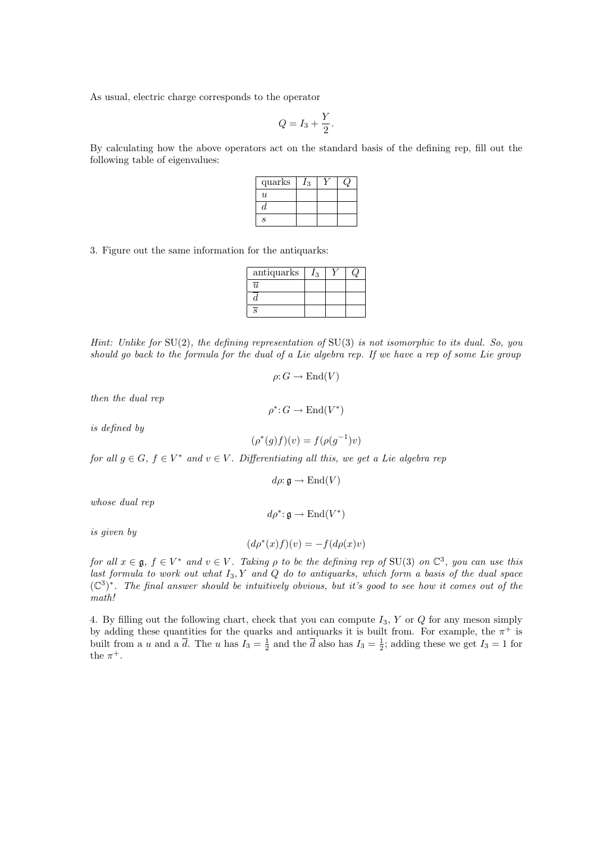As usual, electric charge corresponds to the operator

$$
Q = I_3 + \frac{Y}{2}.
$$

By calculating how the above operators act on the standard basis of the defining rep, fill out the following table of eigenvalues:

| quarks                      | 3 |  |
|-----------------------------|---|--|
| $\boldsymbol{u}$            |   |  |
| "                           |   |  |
| $\mathcal{S}_{\mathcal{S}}$ |   |  |

3. Figure out the same information for the antiquarks:

| antiquarks | / २ |  |
|------------|-----|--|
| π          |     |  |
|            |     |  |
| Q          |     |  |

Hint: Unlike for SU(2), the defining representation of SU(3) is not isomorphic to its dual. So, you should go back to the formula for the dual of a Lie algebra rep. If we have a rep of some Lie group

$$
\rho: G \to \text{End}(V)
$$

then the dual rep

is defined by

$$
(\rho^*(g)f)(v) = f(\rho(g^{-1})v)
$$

for all  $g \in G$ ,  $f \in V^*$  and  $v \in V$ . Differentiating all this, we get a Lie algebra rep

$$
d\rho\!:\mathfrak{g}\rightarrow\mathrm{End}(V)
$$

 $d\rho^*$ :  $\mathfrak{g} \to \text{End}(V^*)$ 

whose dual rep

is given by

$$
(d\rho^*(x)f)(v) = -f(d\rho(x)v)
$$

for all  $x \in \mathfrak{g}$ ,  $f \in V^*$  and  $v \in V$ . Taking  $\rho$  to be the defining rep of SU(3) on  $\mathbb{C}^3$ , you can use this last formula to work out what  $I_3, Y$  and  $Q$  do to antiquarks, which form a basis of the dual space  $(\mathbb{C}^3)^*$ . The final answer should be intuitively obvious, but it's good to see how it comes out of the math!

4. By filling out the following chart, check that you can compute  $I_3$ , Y or Q for any meson simply by adding these quantities for the quarks and antiquarks it is built from. For example, the  $\pi^+$  is built from a u and a  $\overline{d}$ . The u has  $I_3 = \frac{1}{2}$  and the  $\overline{d}$  also has  $I_3 = \frac{1}{2}$ ; adding these we get  $I_3 = 1$  for the  $\pi^+$ .

$$
\rho^*\colon G\to \mathrm{End}(V^*)
$$